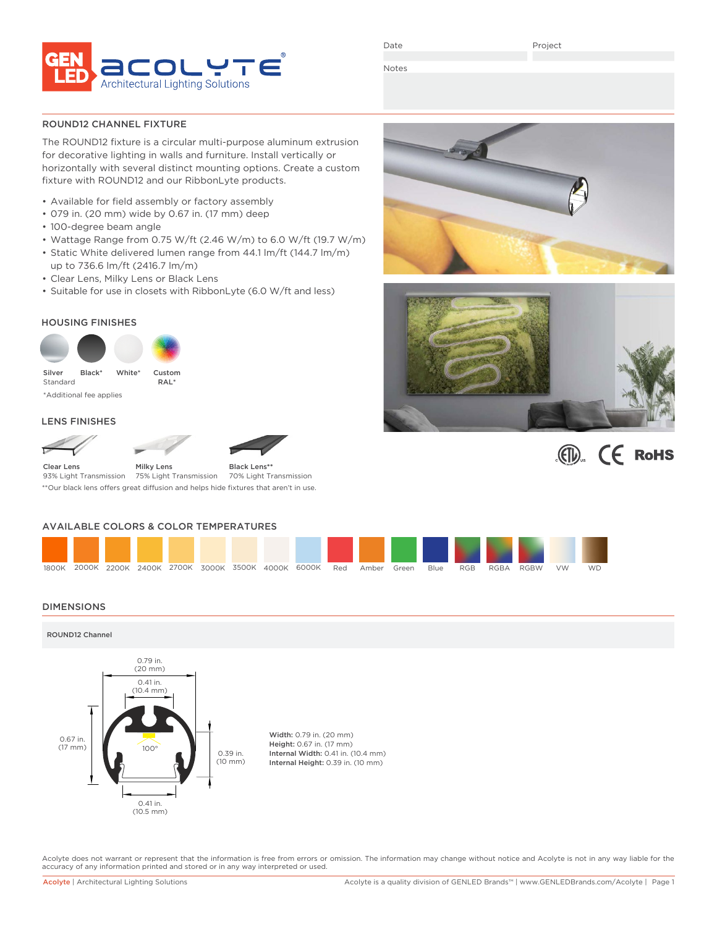

Date

Project

Notes

ROUND12 CHANNEL FIXTURE

The ROUND12 fixture is a circular multi-purpose aluminum extrusion for decorative lighting in walls and furniture. Install vertically or horizontally with several distinct mounting options. Create a custom fixture with ROUND12 and our RibbonLyte products.

- Available for field assembly or factory assembly
- 079 in. (20 mm) wide by 0.67 in. (17 mm) deep
- 100-degree beam angle
- Wattage Range from 0.75 W/ft (2.46 W/m) to 6.0 W/ft (19.7 W/m)
- Static White delivered lumen range from 44.1 lm/ft (144.7 lm/m) up to 736.6 lm/ft (2416.7 lm/m)
- Clear Lens, Milky Lens or Black Lens
- Suitable for use in closets with RibbonLyte (6.0 W/ft and less)

### HOUSING FINISHES





### LENS FINISHES







Milky Lens 75% Light Transmission Clear Lens 93% Light Transmission Black Lens**\*\*** 70% Light Transmission \*\*Our black lens offers great diffusion and helps hide fixtures that aren't in use.

### AVAILABLE COLORS & COLOR TEMPERATURES



### DIMENSIONS

ROUND12 Channel



Acolyte does not warrant or represent that the information is free from errors or omission. The information may change without notice and Acolyte is not in any way liable for the accuracy of any information printed and stored or in any way interpreted or used.





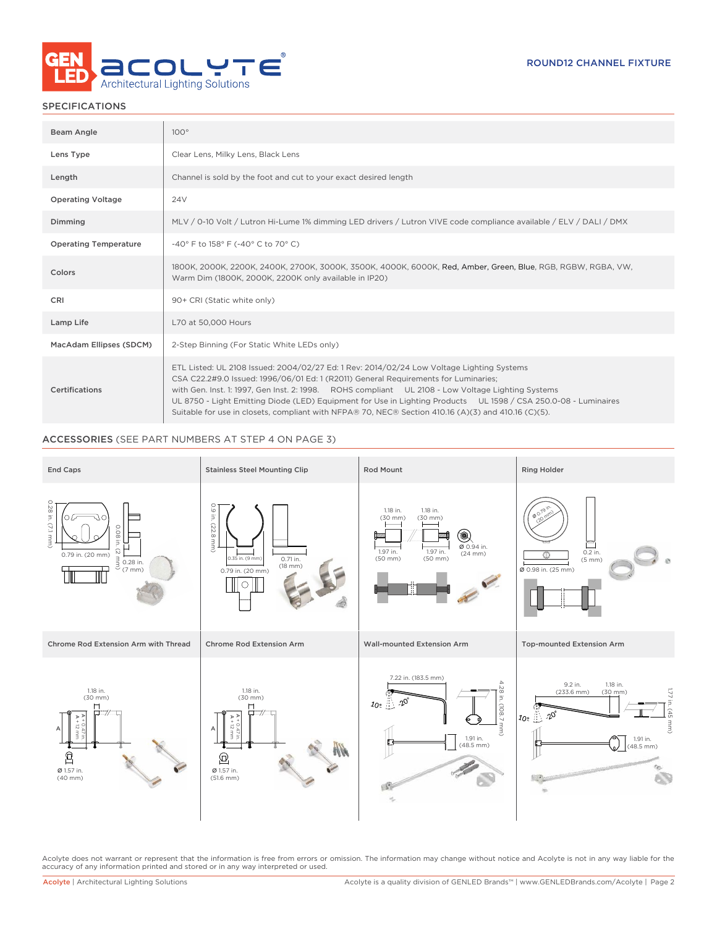

| Beam Angle                   | $100^\circ$                                                                                                                                                                                                                                                                                                                                                                                                                                                                                                     |
|------------------------------|-----------------------------------------------------------------------------------------------------------------------------------------------------------------------------------------------------------------------------------------------------------------------------------------------------------------------------------------------------------------------------------------------------------------------------------------------------------------------------------------------------------------|
| Lens Type                    | Clear Lens, Milky Lens, Black Lens                                                                                                                                                                                                                                                                                                                                                                                                                                                                              |
| Length                       | Channel is sold by the foot and cut to your exact desired length                                                                                                                                                                                                                                                                                                                                                                                                                                                |
| <b>Operating Voltage</b>     | 24 <sub>V</sub>                                                                                                                                                                                                                                                                                                                                                                                                                                                                                                 |
| Dimming                      | MLV / 0-10 Volt / Lutron Hi-Lume 1% dimming LED drivers / Lutron VIVE code compliance available / ELV / DALI / DMX                                                                                                                                                                                                                                                                                                                                                                                              |
| <b>Operating Temperature</b> | -40° F to 158° F (-40° C to 70° C)                                                                                                                                                                                                                                                                                                                                                                                                                                                                              |
| Colors                       | 1800K, 2000K, 2200K, 2400K, 2700K, 3000K, 3500K, 4000K, 6000K, Red, Amber, Green, Blue, RGB, RGBW, RGBA, VW,<br>Warm Dim (1800K, 2000K, 2200K only available in IP20)                                                                                                                                                                                                                                                                                                                                           |
| CRI                          | 90+ CRI (Static white only)                                                                                                                                                                                                                                                                                                                                                                                                                                                                                     |
| Lamp Life                    | L70 at 50,000 Hours                                                                                                                                                                                                                                                                                                                                                                                                                                                                                             |
| MacAdam Ellipses (SDCM)      | 2-Step Binning (For Static White LEDs only)                                                                                                                                                                                                                                                                                                                                                                                                                                                                     |
| Certifications               | ETL Listed: UL 2108 Issued: 2004/02/27 Ed: 1 Rev: 2014/02/24 Low Voltage Lighting Systems<br>CSA C22.2#9.0 Issued: 1996/06/01 Ed: 1 (R2011) General Requirements for Luminaries;<br>with Gen. Inst. 1: 1997, Gen Inst. 2: 1998. ROHS compliant UL 2108 - Low Voltage Lighting Systems<br>UL 8750 - Light Emitting Diode (LED) Equipment for Use in Lighting Products UL 1598 / CSA 250.0-08 - Luminaires<br>Suitable for use in closets, compliant with NFPA® 70, NEC® Section 410.16 (A)(3) and 410.16 (C)(5). |

### ACCESSORIES (SEE PART NUMBERS AT STEP 4 ON PAGE 3)



Acolyte does not warrant or represent that the information is free from errors or omission. The information may change without notice and Acolyte is not in any way liable for the<br>accuracy of any information printed and sto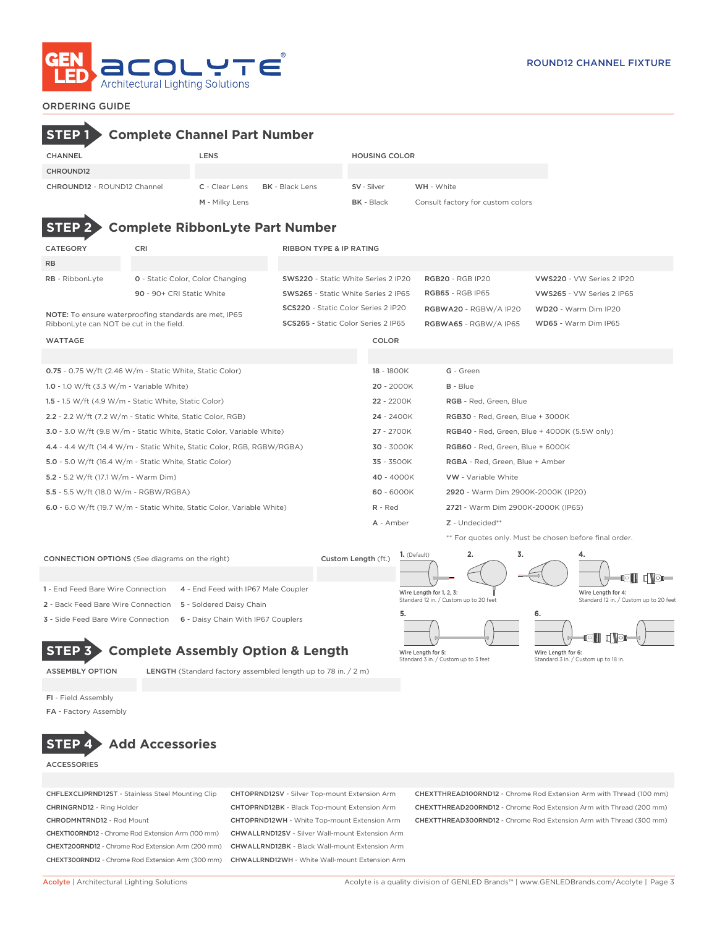

### ORDERING GUIDE

# NOTE: To ensure waterproofing standards are met, IP65 RibbonLyte can NOT be cut in the field. wattage color and the color of the color color color color color color color color color 0.75 - 0.75 W/ft (2.46 W/m - Static White, Static Color) 18 - 1800K G - Green 1.0 - 1.0 W/ft (3.3 W/m - Variable White) 20 - 2000K B - Blue 1.5 - 1.5 W/ft (4.9 W/m - Static White, Static Color) 22 - 2200K RGB - Red, Green, Blue 2.2 - 2.2 W/ft (7.2 W/m - Static White, Static Color, RGB) 24 - 2400K RGB30 - Red, Green, Blue + 3000K 3.0 - 3.0 W/ft (9.8 W/m - Static White, Static Color, Variable White) 27 - 2700K RGB40 - Red, Green, Blue + 4000K (5.5W only) 4.4 - 4.4 W/ft (14.4 W/m - Static White, Static Color, RGB, RGBW/RGBA) 30 - 3000K RGB60 - Red, Green, Blue + 6000K 5.0 - 5.0 W/ft (16.4 W/m - Static White, Static Color) 35 - 3500K RGBA - Red, Green, Blue + Amber 5.2 - 5.2 W/ft (17.1 W/m - Warm Dim) 40 - 4000K VW - Variable White 5.5 - 5.5 W/ft (18.0 W/m - RGBW/RGBA) 60 - 6000K 2920 - Warm Dim 2900K-2000K (IP20) 6.0 - 6.0 W/ft (19.7 W/m - Static White, Static Color, Variable White) R - Red 2721 - Warm Dim 2900K-2000K (IP65) A - Amber Z - Undecided\*\* \*\* For quotes only. Must be chosen before final order. CATEGORY CRI CRI RIBBON TYPE & IP RATING RB RB - RibbonLyte **0** - Static Color, Color Changing SWS220 - Static White Series 2 IP20 RGB20 - RGB IP20 VWS220 - VW Series 2 IP20 90 - 90+ CRI Static White SWS265 - Static White Series 2 IP65 RGB65 - RGB IP65 VWS265 - VW Series 2 IP65 SCS220 - Static Color Series 2 IP20 RGBWA20 - RGBW/A IP20 WD20 - Warm Dim IP20 SCS265 - Static Color Series 2 IP65 RGBWA65 - RGBW/A IP65 WD65 - Warm Dim IP65 CHANNEL LENS HOUSING COLOR CHROUND12 CHROUND12 - ROUND12 Channel C - Clear Lens BK - Black Lens SV - Silver WH - White M - Milky Lens **BK - Black** Consult factory for custom colors **STEP 2 Complete RibbonLyte Part Number STEP 1 Complete Channel Part Number**

**1.** (Default) **2. 3. 4.** CONNECTION OPTIONS (See diagrams on the right) Custom Length (ft.) **di de-**1 - End Feed Bare Wire Connection 4 - End Feed with IP67 Male Coupler Wire Length for 1, 2, 3: Wire Length for 4: Standard 12 in. / Custom up to 20 feet Standard 12 in. / Custom up to 20 feet 2 - Back Feed Bare Wire Connection 5 - Soldered Daisy Chain **5. 6.** 3 - Side Feed Bare Wire Connection 6 - Daisy Chain With IP67 Couplers - ITI 1 **STEP 3 Complete Assembly Option & Length** Wire Length for 6:

ASSEMBLY OPTION LENGTH (Standard factory assembled length up to 78 in. / 2 m)



Standard 3 in. / Custom up to 18 in.

FI - Field Assembly

FA - Factory Assembly

# **STEP 4 Add Accessories**

**ACCESSORIES** 

CHEXT100RND12 - Chrome Rod Extension Arm (100 mm) CHWALLRND12SV - Silver Wall-mount Extension Arm CHEXT200RND12 - Chrome Rod Extension Arm (200 mm) CHWALLRND12BK - Black Wall-mount Extension Arm CHEXT300RND12 - Chrome Rod Extension Arm (300 mm) CHWALLRND12WH - White Wall-mount Extension Arm

CHFLEXCLIPRND12ST - Stainless Steel Mounting Clip CHTOPRND12SV - Silver Top-mount Extension Arm CHEXTTHREAD100RND12 - Chrome Rod Extension Arm with Thread (100 mm) CHRINGRND12 - Ring Holder CHTOPRND12BK - Black Top-mount Extension Arm CHEXTTHREAD200RND12 - Chrome Rod Extension Arm with Thread (200 mm) CHRODMNTRND12 - Rod Mount CHTOPRND12WH - White Top-mount Extension Arm CHEXTTHREAD300RND12 - Chrome Rod Extension Arm with Thread (300 mm)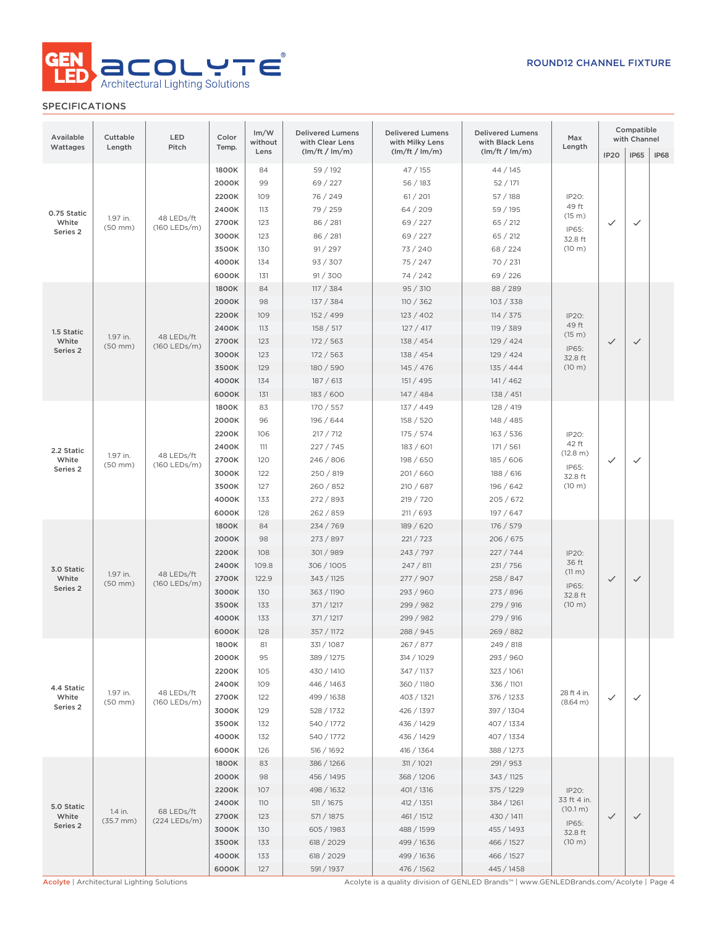

| Available<br>Wattages | Cuttable<br>Length                         | LED<br>Color<br>Pitch<br>Temp. |       | Im/W<br>without | <b>Delivered Lumens</b><br><b>Delivered Lumens</b><br>with Clear Lens<br>with Milky Lens |                                                                                                       | <b>Delivered Lumens</b><br>with Black Lens |                      | Compatible<br>with Channel |              |             |  |  |  |
|-----------------------|--------------------------------------------|--------------------------------|-------|-----------------|------------------------------------------------------------------------------------------|-------------------------------------------------------------------------------------------------------|--------------------------------------------|----------------------|----------------------------|--------------|-------------|--|--|--|
|                       |                                            |                                |       | Lens            | (lm/ft / lm/m)                                                                           | (lm/ft / lm/m)                                                                                        | (lm/ft / lm/m)                             | Length               | IP <sub>20</sub>           | <b>IP65</b>  | <b>IP68</b> |  |  |  |
|                       |                                            |                                |       | 1800K           | 84                                                                                       | 59 / 192                                                                                              | 47 / 155                                   | 44 / 145             |                            |              |             |  |  |  |
|                       |                                            |                                | 2000K | 99              | 69 / 227                                                                                 | 56/183                                                                                                | 52/171                                     |                      |                            |              |             |  |  |  |
|                       |                                            |                                | 2200K | 109             | 76 / 249                                                                                 | 61 / 201                                                                                              | 57/188                                     | IP20:                |                            |              |             |  |  |  |
| 0.75 Static           |                                            |                                | 2400K | 113             | 79 / 259                                                                                 | 64/209                                                                                                | 59 / 195                                   | 49 ft<br>(15 m)      |                            |              |             |  |  |  |
| White                 | 1.97 in.<br>$(50$ mm $)$                   | 48 LEDs/ft<br>(160 LEDs/m)     | 2700K | 123             | 86 / 281                                                                                 | 69 / 227                                                                                              | 65 / 212                                   | IP65:                | $\checkmark$               | $\checkmark$ |             |  |  |  |
| Series 2              |                                            |                                | 3000K | 123             | 86 / 281                                                                                 | 69 / 227                                                                                              | 65 / 212                                   | 32.8 ft              |                            |              |             |  |  |  |
|                       |                                            |                                | 3500K | 130             | 91 / 297                                                                                 | 73 / 240                                                                                              | 68 / 224                                   | (10 m)               |                            |              |             |  |  |  |
|                       |                                            |                                | 4000K | 134             | 93 / 307                                                                                 | 75 / 247                                                                                              | 70 / 231                                   |                      |                            |              |             |  |  |  |
|                       |                                            |                                | 6000K | 131             | 91 / 300                                                                                 | 74 / 242                                                                                              | 69 / 226                                   |                      |                            |              |             |  |  |  |
|                       |                                            |                                | 1800K | 84              | 117 / 384                                                                                | 95 / 310                                                                                              | 88 / 289                                   |                      |                            |              |             |  |  |  |
|                       |                                            |                                | 2000K | 98              | 137 / 384                                                                                | 110 / 362                                                                                             | 103 / 338                                  |                      |                            |              |             |  |  |  |
|                       |                                            |                                | 2200K | 109             | 152 / 499                                                                                | 123/402                                                                                               | 114 / 375                                  | IP20:                |                            |              |             |  |  |  |
| 1.5 Static            |                                            |                                | 2400K | 113             | 158 / 517                                                                                | 127 / 417                                                                                             | 119 / 389                                  | 49 ft<br>(15 m)      |                            |              |             |  |  |  |
| White                 | 1.97 in.<br>$(50$ mm $)$                   | 48 LEDs/ft<br>(160 LEDs/m)     | 2700K | 123             | 172/563                                                                                  | 138 / 454                                                                                             | 129/424                                    | IP65:                | $\checkmark$               | $\checkmark$ |             |  |  |  |
| Series 2              |                                            |                                | 3000K | 123             | 172 / 563                                                                                | 138 / 454                                                                                             | 129/424                                    | 32.8 ft              |                            |              |             |  |  |  |
|                       |                                            |                                | 3500K | 129             | 180 / 590                                                                                | 145 / 476                                                                                             | 135 / 444                                  | (10 m)               |                            |              |             |  |  |  |
|                       |                                            |                                | 4000K | 134             | 187/613                                                                                  | 151 / 495                                                                                             | 141 / 462                                  |                      |                            |              |             |  |  |  |
|                       |                                            |                                | 6000K | 131             | 183 / 600                                                                                | 147 / 484                                                                                             | 138 / 451                                  |                      |                            |              |             |  |  |  |
|                       |                                            |                                | 1800K | 83              | 170 / 557                                                                                | 137 / 449                                                                                             | 128/419                                    |                      |                            |              |             |  |  |  |
|                       |                                            |                                | 2000K | 96              | 196 / 644                                                                                | 158 / 520                                                                                             | 148 / 485                                  |                      |                            |              |             |  |  |  |
|                       |                                            |                                | 2200K | 106             | 217 / 712                                                                                | 175/574                                                                                               | 163 / 536                                  | IP20:                |                            |              |             |  |  |  |
| 2.2 Static            |                                            | 48 LEDs/ft<br>(160 LEDs/m)     | 2400K | 111             | 227 / 745                                                                                | 183 / 601                                                                                             | 171 / 561                                  | 42 ft<br>(12.8 m)    | $\checkmark$               | $\checkmark$ |             |  |  |  |
| White                 | 1.97 in.<br>$(50$ mm $)$                   |                                | 2700K | 120             | 246 / 806                                                                                | 198 / 650                                                                                             | 185 / 606                                  | IP65:                |                            |              |             |  |  |  |
| Series 2              |                                            |                                | 3000K | 122             | 250 / 819                                                                                | 201/660                                                                                               | 188 / 616                                  | 32.8 ft              |                            |              |             |  |  |  |
|                       |                                            |                                | 3500K | 127             | 260 / 852                                                                                | 210 / 687                                                                                             | 196 / 642                                  | (10 m)               |                            |              |             |  |  |  |
|                       |                                            |                                | 4000K | 133             | 272 / 893                                                                                | 219 / 720                                                                                             | 205 / 672                                  |                      |                            |              |             |  |  |  |
|                       |                                            |                                | 6000K | 128             | 262 / 859                                                                                | 211/693                                                                                               | 197 / 647                                  |                      |                            |              |             |  |  |  |
|                       | 1.97 in.<br>$(50$ mm $)$                   | 48 LEDs/ft<br>(160 LEDs/m)     | 1800K | 84              | 234 / 769                                                                                | 189 / 620                                                                                             | 176 / 579                                  |                      |                            |              |             |  |  |  |
|                       |                                            |                                |       |                 |                                                                                          | 2000K                                                                                                 | 98                                         | 273/897              | 221 / 723                  | 206 / 675    |             |  |  |  |
|                       |                                            |                                | 2200K | 108             | 301/989                                                                                  | 243 / 797                                                                                             | 227 / 744                                  | IP20:                |                            |              |             |  |  |  |
| 3.0 Static            |                                            |                                |       | 2400K           | 109.8                                                                                    | 306 / 1005                                                                                            | 247 / 811                                  | 231 / 756            | 36 ft<br>$(11 \text{ m})$  |              |             |  |  |  |
| White<br>Series 2     |                                            |                                | 2700K | 122.9           | 343 / 1125                                                                               | 277 / 907                                                                                             | 258 / 847                                  | IP65:                | $\checkmark$               | $\checkmark$ |             |  |  |  |
|                       |                                            |                                | 3000K | 130             | 363 / 1190                                                                               | 293 / 960                                                                                             | 273 / 896                                  | 32.8 ft              |                            |              |             |  |  |  |
|                       |                                            |                                |       |                 |                                                                                          | 3500K                                                                                                 | 133                                        | 371 / 1217           | 299 / 982                  | 279 / 916    | (10 m)      |  |  |  |
|                       |                                            |                                | 4000K | 133             | 371 / 1217                                                                               | 299 / 982                                                                                             | 279 / 916                                  |                      |                            |              |             |  |  |  |
|                       |                                            |                                | 6000K | 128             | 357 / 1172                                                                               | 288 / 945                                                                                             | 269 / 882                                  |                      |                            |              |             |  |  |  |
|                       |                                            |                                | 1800K | 81              | 331/1087                                                                                 | 267 / 877                                                                                             | 249 / 818                                  |                      |                            |              |             |  |  |  |
|                       |                                            |                                | 2000K | 95              | 389 / 1275                                                                               | 314 / 1029                                                                                            | 293 / 960                                  |                      |                            |              |             |  |  |  |
|                       |                                            |                                | 2200K | 105             | 430 / 1410                                                                               | 347 / 1137                                                                                            | 323 / 1061                                 |                      |                            |              |             |  |  |  |
| 4.4 Static            | 1.97 in.                                   | 48 LEDs/ft                     | 2400K | 109             | 446 / 1463                                                                               | 360 / 1180                                                                                            | 336 / 1101                                 | 28 ft 4 in.          |                            |              |             |  |  |  |
| White<br>Series 2     | $(50$ mm $)$                               | (160 LEDs/m)                   | 2700K | 122             | 499 / 1638                                                                               | 403 / 1321                                                                                            | 376 / 1233                                 | (8.64 m)             | $\checkmark$               | $\checkmark$ |             |  |  |  |
|                       |                                            |                                | 3000K | 129             | 528 / 1732                                                                               | 426 / 1397                                                                                            | 397 / 1304                                 |                      |                            |              |             |  |  |  |
|                       |                                            |                                | 3500K | 132             | 540 / 1772                                                                               | 436 / 1429                                                                                            | 407 / 1334                                 |                      |                            |              |             |  |  |  |
|                       |                                            |                                | 4000K | 132             | 540 / 1772                                                                               | 436 / 1429                                                                                            | 407 / 1334                                 |                      |                            |              |             |  |  |  |
|                       |                                            |                                | 6000K | 126             | 516 / 1692                                                                               | 416 / 1364                                                                                            | 388 / 1273                                 |                      |                            |              |             |  |  |  |
|                       |                                            |                                | 1800K | 83              | 386 / 1266                                                                               | 311 / 1021                                                                                            | 291 / 953                                  |                      |                            |              |             |  |  |  |
|                       |                                            |                                | 2000K | 98              | 456 / 1495                                                                               | 368 / 1206                                                                                            | 343 / 1125                                 |                      |                            |              |             |  |  |  |
|                       |                                            |                                | 2200K | 107             | 498 / 1632                                                                               | 401 / 1316                                                                                            | 375 / 1229                                 | IP20:<br>33 ft 4 in. |                            |              |             |  |  |  |
| 5.0 Static            | 1.4 in.                                    | 68 LEDs/ft                     | 2400K | 110             | 511/1675                                                                                 | 412 / 1351                                                                                            | 384 / 1261                                 | (10.1 m)             |                            |              |             |  |  |  |
| White<br>Series 2     | $(35.7$ mm $)$                             | (224 LEDs/m)                   | 2700K | 123             | 571 / 1875                                                                               | 461 / 1512                                                                                            | 430 / 1411                                 | IP65:                | $\checkmark$               | $\checkmark$ |             |  |  |  |
|                       |                                            |                                | 3000K | 130             | 605 / 1983                                                                               | 488 / 1599                                                                                            | 455 / 1493                                 | 32.8 ft              |                            |              |             |  |  |  |
|                       |                                            |                                | 3500K | 133             | 618 / 2029                                                                               | 499 / 1636                                                                                            | 466 / 1527                                 | (10 m)               |                            |              |             |  |  |  |
|                       |                                            |                                | 4000K | 133             | 618 / 2029                                                                               | 499 / 1636                                                                                            | 466 / 1527                                 |                      |                            |              |             |  |  |  |
|                       | Acolyte   Architectural Lighting Solutions |                                | 6000K | 127             | 591 / 1937                                                                               | 476 / 1562<br>Acolyte is a quality division of GENLED Brands™   www.GENLEDBrands.com/Acolyte   Page 4 | 445 / 1458                                 |                      |                            |              |             |  |  |  |
|                       |                                            |                                |       |                 |                                                                                          |                                                                                                       |                                            |                      |                            |              |             |  |  |  |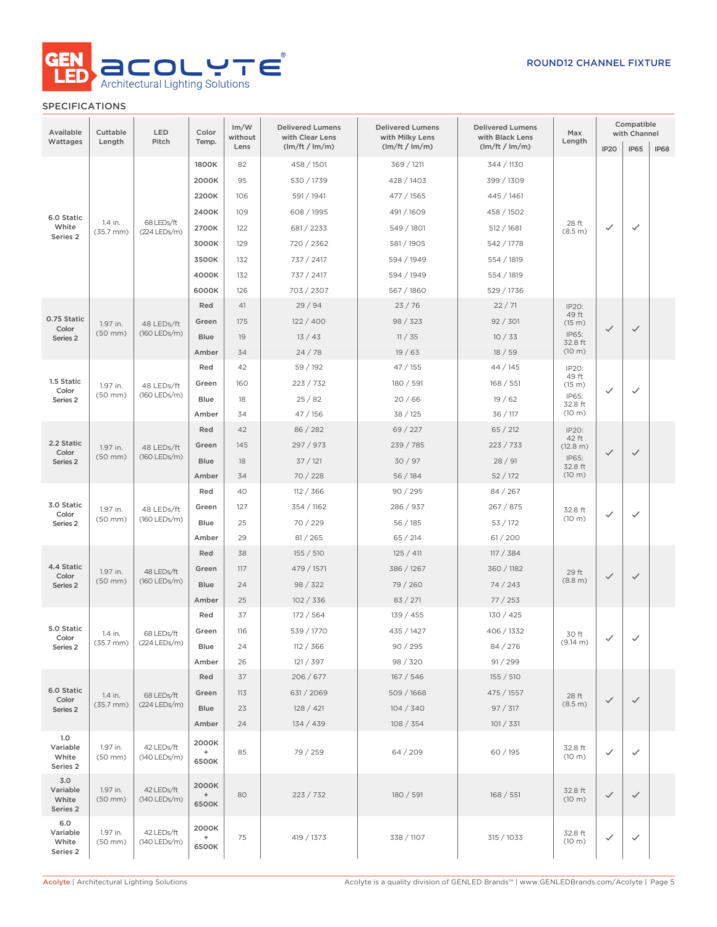

| Available<br>Wattages                | Cuttable<br>Length       | LED<br>Pitch                 | Color<br>Temp.                    | Im/W<br>without<br>Lens | <b>Delivered Lumens</b><br>with Clear Lens<br>(lm/ft / lm/m) | <b>Delivered Lumens</b><br>with Milky Lens<br>(lm/ft / lm/m) | <b>Delivered Lumens</b><br>with Black Lens<br>(lm/ft / lm/m) | Max<br>Length     | Compatible<br>with Channel |              |             |  |      |    |          |        |        |                   |              |              |  |      |    |           |        |          |                    |                |   |  |
|--------------------------------------|--------------------------|------------------------------|-----------------------------------|-------------------------|--------------------------------------------------------------|--------------------------------------------------------------|--------------------------------------------------------------|-------------------|----------------------------|--------------|-------------|--|------|----|----------|--------|--------|-------------------|--------------|--------------|--|------|----|-----------|--------|----------|--------------------|----------------|---|--|
|                                      |                          |                              |                                   |                         |                                                              |                                                              |                                                              |                   | IP <sub>20</sub>           | <b>IP65</b>  | <b>IP68</b> |  |      |    |          |        |        |                   |              |              |  |      |    |           |        |          |                    |                |   |  |
|                                      |                          |                              | 1800K                             | 82<br>95                | 458 / 1501                                                   | 369 / 1211<br>428 / 1403                                     | 344 / 1130                                                   |                   |                            |              |             |  |      |    |          |        |        |                   |              |              |  |      |    |           |        |          |                    |                |   |  |
|                                      |                          |                              | 2000K                             |                         | 530 / 1739<br>591 / 1941                                     |                                                              | 399 / 1309                                                   |                   |                            |              |             |  |      |    |          |        |        |                   |              |              |  |      |    |           |        |          |                    |                |   |  |
|                                      |                          |                              | 2200K                             | 106                     |                                                              | 477 / 1565                                                   | 445 / 1461                                                   |                   |                            |              |             |  |      |    |          |        |        |                   |              |              |  |      |    |           |        |          |                    |                |   |  |
| 6.0 Static                           | 1.4 in.                  | 68 LEDs/ft                   | 2400K                             | 109                     | 608 / 1995                                                   | 491 / 1609                                                   | 458 / 1502                                                   | 28 ft             |                            |              |             |  |      |    |          |        |        |                   |              |              |  |      |    |           |        |          |                    |                |   |  |
| White<br>Series 2                    | $(35.7$ mm $)$           | (224 LEDs/m)                 | 2700K                             | 122                     | 681 / 2233                                                   | 549 / 1801                                                   | 512 / 1681                                                   | (8.5 m)           | $\checkmark$               | $\checkmark$ |             |  |      |    |          |        |        |                   |              |              |  |      |    |           |        |          |                    |                |   |  |
|                                      |                          |                              | 3000K                             | 129                     | 720 / 2362                                                   | 581 / 1905                                                   | 542 / 1778                                                   |                   |                            |              |             |  |      |    |          |        |        |                   |              |              |  |      |    |           |        |          |                    |                |   |  |
|                                      |                          |                              | 3500K                             | 132                     | 737 / 2417                                                   | 594 / 1949                                                   | 554 / 1819                                                   |                   |                            |              |             |  |      |    |          |        |        |                   |              |              |  |      |    |           |        |          |                    |                |   |  |
|                                      |                          |                              | 4000K                             | 132                     | 737 / 2417                                                   | 594 / 1949                                                   | 554 / 1819                                                   |                   |                            |              |             |  |      |    |          |        |        |                   |              |              |  |      |    |           |        |          |                    |                |   |  |
|                                      |                          |                              | 6000K                             | 126                     | 703 / 2307                                                   | 567 / 1860                                                   | 529 / 1736                                                   |                   |                            |              |             |  |      |    |          |        |        |                   |              |              |  |      |    |           |        |          |                    |                |   |  |
| 0.75 Static                          |                          |                              | Red                               | 41                      | 29/94                                                        | 23/76                                                        | 22/71                                                        | IP20:<br>49 ft    |                            |              |             |  |      |    |          |        |        |                   |              |              |  |      |    |           |        |          |                    |                |   |  |
| Color                                | 1.97 in.<br>$(50$ mm $)$ | 48 LEDs/ft<br>(160 LEDs/m)   | Green                             | 175                     | 122/400                                                      | 98 / 323                                                     | 92 / 301                                                     | (15 m)<br>IP65:   | $\checkmark$               | $\checkmark$ |             |  |      |    |          |        |        |                   |              |              |  |      |    |           |        |          |                    |                |   |  |
| Series <sub>2</sub>                  |                          |                              | <b>Blue</b>                       | 19                      | 13/43                                                        | 11 / 35                                                      | 10/33                                                        | 32.8 ft<br>(10 m) |                            |              |             |  |      |    |          |        |        |                   |              |              |  |      |    |           |        |          |                    |                |   |  |
|                                      |                          |                              | Amber<br>Red                      | 34<br>42                | 24/78<br>59 / 192                                            | 19/63<br>47/155                                              | 18/59<br>44 / 145                                            |                   |                            |              |             |  |      |    |          |        |        |                   |              |              |  |      |    |           |        |          |                    |                |   |  |
| 1.5 Static                           |                          |                              |                                   |                         | 223 / 732                                                    |                                                              | 168 / 551                                                    | IP20:<br>49 ft    |                            |              |             |  |      |    |          |        |        |                   |              |              |  |      |    |           |        |          |                    |                |   |  |
| Color                                | 1.97 in.<br>$(50$ mm $)$ | 48 LEDs/ft<br>(160 LEDs/m)   | Green                             | 160                     |                                                              | 180 / 591                                                    |                                                              | (15 m)<br>IP65:   | ✓                          | $\checkmark$ |             |  |      |    |          |        |        |                   |              |              |  |      |    |           |        |          |                    |                |   |  |
| Series <sub>2</sub>                  |                          |                              | Blue<br>Amber                     | 18<br>34                | 25/82                                                        | 20/66                                                        | 19/62                                                        | 32.8 ft<br>(10 m) |                            |              |             |  |      |    |          |        |        |                   |              |              |  |      |    |           |        |          |                    |                |   |  |
|                                      |                          |                              | Red                               | 42                      | 47 / 156<br>86 / 282                                         | 38 / 125<br>69 / 227                                         | 36 / 117<br>65 / 212                                         |                   |                            |              |             |  |      |    |          |        |        |                   |              |              |  |      |    |           |        |          |                    |                |   |  |
| 2.2 Static                           |                          |                              | Green                             | 145                     | 297 / 973                                                    | 239 / 785                                                    | 223 / 733                                                    | IP20:<br>42 ft    |                            |              |             |  |      |    |          |        |        |                   |              |              |  |      |    |           |        |          |                    |                |   |  |
| Color                                | 1.97 in.<br>$(50$ mm $)$ | 48 LEDs/ft<br>$(160$ LEDs/m) | <b>Blue</b>                       | 18                      | 37/121                                                       | 30/97                                                        | 28/91                                                        | (12.8 m)<br>IP65: | $\checkmark$               | $\checkmark$ |             |  |      |    |          |        |        |                   |              |              |  |      |    |           |        |          |                    |                |   |  |
| Series <sub>2</sub>                  |                          |                              | Amber                             | 34                      | 70 / 228                                                     | 56/184                                                       | 52/172                                                       | 32.8 ft<br>(10 m) |                            |              |             |  |      |    |          |        |        |                   |              |              |  |      |    |           |        |          |                    |                |   |  |
|                                      |                          |                              | Red                               | 40                      | 112 / 366                                                    | 90/295                                                       | 84 / 267                                                     |                   |                            |              |             |  |      |    |          |        |        |                   |              |              |  |      |    |           |        |          |                    |                |   |  |
| 3.0 Static                           |                          |                              | Green                             | 127                     | 354 / 1162                                                   | 286 / 937                                                    | 267 / 875                                                    |                   |                            |              |             |  |      |    |          |        |        |                   |              |              |  |      |    |           |        |          |                    |                |   |  |
| Color<br>Series <sub>2</sub>         | 1.97 in.<br>$(50$ mm $)$ | (160 LEDs/m)                 |                                   |                         |                                                              |                                                              |                                                              |                   | 48 LEDs/ft                 |              |             |  | Blue | 25 | 70 / 229 | 56/185 | 53/172 | 32.8 ft<br>(10 m) | $\checkmark$ | $\checkmark$ |  |      |    |           |        |          |                    |                |   |  |
|                                      |                          |                              | Amber                             | 29                      | 81 / 265                                                     | 65/214                                                       | 61/200                                                       |                   |                            |              |             |  |      |    |          |        |        |                   |              |              |  |      |    |           |        |          |                    |                |   |  |
|                                      |                          |                              | Red                               | 38                      | 155 / 510                                                    | 125 / 411                                                    | 117 / 384                                                    |                   |                            |              |             |  |      |    |          |        |        |                   |              |              |  |      |    |           |        |          |                    |                |   |  |
| 4.4 Static                           | 1.97 in.                 | 48 LEDs/ft                   | Green                             | 117                     | 479 / 1571                                                   | 386 / 1267                                                   | 360 / 1182                                                   |                   |                            |              |             |  |      |    |          |        |        |                   |              |              |  |      |    |           |        |          |                    |                |   |  |
| Color<br>Series <sub>2</sub>         | $(50$ mm $)$             | $(160$ LEDs/m)               | Blue                              | 24                      | 98 / 322                                                     | 79 / 260                                                     | 74/243                                                       | 29 ft<br>(8.8 m)  | $\checkmark$               | $\checkmark$ |             |  |      |    |          |        |        |                   |              |              |  |      |    |           |        |          |                    |                |   |  |
|                                      |                          |                              | Amber                             | 25                      | 102 / 336                                                    | 83 / 271                                                     | 77/253                                                       |                   |                            |              |             |  |      |    |          |        |        |                   |              |              |  |      |    |           |        |          |                    |                |   |  |
|                                      |                          |                              | Red                               | 37                      | 172 / 564                                                    | 139 / 455                                                    | 130 / 425                                                    |                   |                            |              |             |  |      |    |          |        |        |                   |              |              |  |      |    |           |        |          |                    |                |   |  |
| 5.0 Static                           | 1.4 in.                  | 68 LEDs/ft                   | Green                             | 116                     | 539 / 1770                                                   | 435 / 1427                                                   | 406 / 1332                                                   | 30 ft             |                            |              |             |  |      |    |          |        |        |                   |              |              |  |      |    |           |        |          |                    |                |   |  |
| Color<br>Series 2                    | $(35.7 \text{ mm})$      | $(224$ LEDs/m)               |                                   |                         |                                                              |                                                              |                                                              |                   |                            |              |             |  |      |    |          |        |        |                   |              |              |  | Blue | 24 | 112 / 366 | 90/295 | 84 / 276 | $(9.14 \text{ m})$ | $\checkmark$ . | ✓ |  |
|                                      |                          |                              | Amber                             | 26                      | 121 / 397                                                    | 98 / 320                                                     | 91 / 299                                                     |                   |                            |              |             |  |      |    |          |        |        |                   |              |              |  |      |    |           |        |          |                    |                |   |  |
|                                      |                          |                              | Red                               | 37                      | 206 / 677                                                    | 167 / 546                                                    | 155 / 510                                                    |                   |                            |              |             |  |      |    |          |        |        |                   |              |              |  |      |    |           |        |          |                    |                |   |  |
| 6.0 Static                           | 1.4 in.                  | 68 LEDs/ft                   | Green                             | 113                     | 631 / 2069                                                   | 509 / 1668                                                   | 475 / 1557                                                   | 28 ft             |                            |              |             |  |      |    |          |        |        |                   |              |              |  |      |    |           |        |          |                    |                |   |  |
| Color<br>Series 2                    | $(35.7$ mm $)$           | (224 LEDs/m)                 | Blue                              | 23                      | 128 / 421                                                    | 104 / 340                                                    | 97 / 317                                                     | (8.5 m)           | $\checkmark$               | $\checkmark$ |             |  |      |    |          |        |        |                   |              |              |  |      |    |           |        |          |                    |                |   |  |
|                                      |                          |                              | Amber                             | 24                      | 134 / 439                                                    | 108 / 354                                                    | 101 / 331                                                    |                   |                            |              |             |  |      |    |          |        |        |                   |              |              |  |      |    |           |        |          |                    |                |   |  |
| 1.0<br>Variable<br>White<br>Series 2 | 1.97 in.<br>$(50$ mm $)$ | 42 LEDs/ft<br>(140 LEDs/m)   | 2000K<br>$\ddot{}$<br>6500K       | 85                      | 79 / 259                                                     | 64/209                                                       | 60 / 195                                                     | 32.8 ft<br>(10 m) | $\checkmark$               | $\checkmark$ |             |  |      |    |          |        |        |                   |              |              |  |      |    |           |        |          |                    |                |   |  |
| 3.0<br>Variable<br>White<br>Series 2 | 1.97 in.<br>$(50$ mm $)$ | 42 LEDs/ft<br>(140 LEDs/m)   | 2000K<br>$^{\mathrm{+}}$<br>6500K | 80                      | 223 / 732                                                    | 180 / 591                                                    | 168 / 551                                                    |                   | $\checkmark$               | $\checkmark$ |             |  |      |    |          |        |        |                   |              |              |  |      |    |           |        |          |                    |                |   |  |
| 6.0<br>Variable<br>White<br>Series 2 | 1.97 in.<br>$(50$ mm $)$ | 42 LEDs/ft<br>(140 LEDs/m)   | 2000K<br>$^+$<br>6500K            | 75                      | 419 / 1373                                                   | 338 / 1107<br>315 / 1033                                     |                                                              | 32.8 ft<br>(10 m) | $\checkmark$               | $\checkmark$ |             |  |      |    |          |        |        |                   |              |              |  |      |    |           |        |          |                    |                |   |  |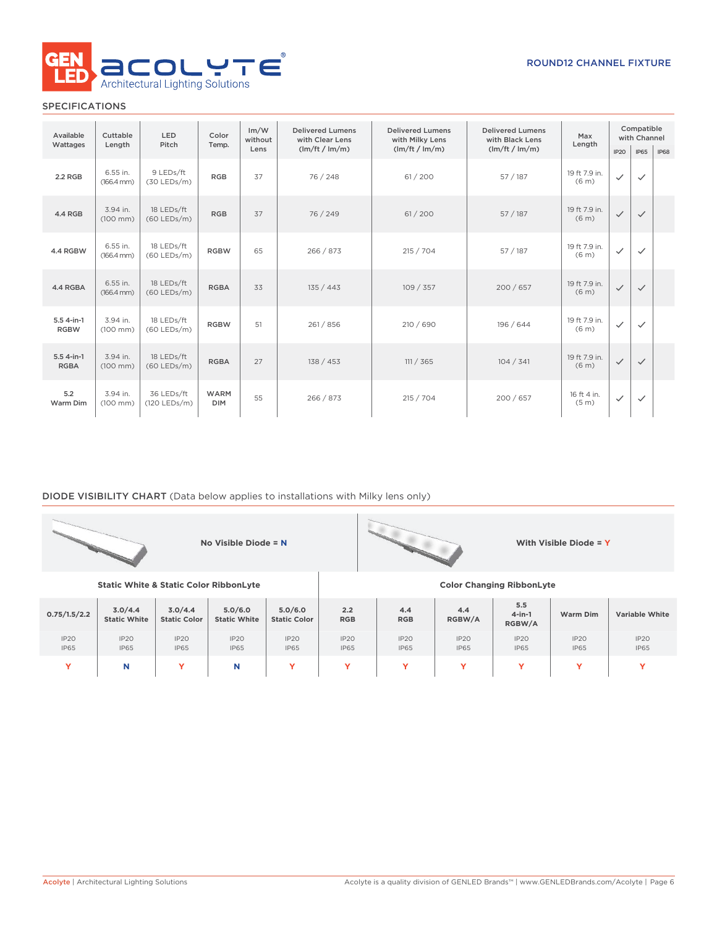

| Available                   | Cuttable                           | <b>LED</b>                   | Color                     | Im/W<br>without | <b>Delivered Lumens</b><br>with Clear Lens | <b>Delivered Lumens</b><br>with Milky Lens | <b>Delivered Lumens</b><br>with Black Lens | Max                                | Compatible<br>with Channel |              |             |
|-----------------------------|------------------------------------|------------------------------|---------------------------|-----------------|--------------------------------------------|--------------------------------------------|--------------------------------------------|------------------------------------|----------------------------|--------------|-------------|
| Wattages                    | Pitch<br>Length                    |                              | Temp.                     | Lens            | (lm/ft / lm/m)                             | (lm/ft / lm/m)                             | (lm/ft / lm/m)                             | Length                             | IP20                       | <b>IP65</b>  | <b>IP68</b> |
| 2.2 RGB                     | 6.55 in.<br>$(166.4 \, \text{mm})$ | 9 LEDs/ft<br>$(30$ LEDs/m)   | <b>RGB</b>                | 37              | 76 / 248                                   | 61 / 200                                   | 57/187                                     | 19 ft 7.9 in.<br>(6 <sub>m</sub> ) | $\checkmark$               | $\checkmark$ |             |
| 4.4 RGB                     | 3.94 in.<br>$(100 \, \text{mm})$   | 18 LEDs/ft<br>$(60$ LEDs/m)  | <b>RGB</b>                | 37              | 76 / 249                                   | 61 / 200                                   | 57/187                                     | 19 ft 7.9 in.<br>(6 <sub>m</sub> ) | $\checkmark$               | $\checkmark$ |             |
| 4.4 RGBW                    | 6.55 in.<br>$(166.4 \, \text{mm})$ | 18 LEDs/ft<br>$(60$ LEDs/m)  | <b>RGBW</b>               | 65              | 266 / 873                                  | 215 / 704                                  | 57/187                                     | 19 ft 7.9 in.<br>(6 <sub>m</sub> ) | $\checkmark$               | $\checkmark$ |             |
| 4.4 RGBA                    | 6.55 in.<br>$(166.4 \, \text{mm})$ | 18 LEDs/ft<br>$(60$ LEDs/m)  | <b>RGBA</b>               | 33              | 135 / 443                                  | 109/357                                    | 200/657                                    | 19 ft 7.9 in.<br>(6 <sub>m</sub> ) | $\checkmark$               | $\checkmark$ |             |
| $5.54$ -in-1<br><b>RGBW</b> | 3.94 in.<br>$(100$ mm $)$          | 18 LEDs/ft<br>$(60$ LEDs/m)  | <b>RGBW</b>               | 51              | 261 / 856                                  | 210 / 690                                  | 196 / 644                                  | 19 ft 7.9 in.<br>(6 <sub>m</sub> ) | $\checkmark$               | $\checkmark$ |             |
| $5.54-in-1$<br><b>RGBA</b>  | 3.94 in.<br>$(100$ mm $)$          | 18 LEDs/ft<br>$(60$ LEDs/m)  | <b>RGBA</b>               | 27              | 138 / 453                                  | 111 / 365                                  | 104 / 341                                  | 19 ft 7.9 in.<br>(6 <sub>m</sub> ) | $\checkmark$               | $\checkmark$ |             |
| 5.2<br>Warm Dim             | 3.94 in.<br>$(100$ mm $)$          | 36 LEDs/ft<br>$(120$ LEDs/m) | <b>WARM</b><br><b>DIM</b> | 55              | 266 / 873                                  | 215 / 704                                  | 200 / 657                                  | 16 ft 4 in.<br>(5 <sub>m</sub> )   | $\checkmark$               | $\checkmark$ |             |

### DIODE VISIBILITY CHART (Data below applies to installations with Milky lens only)

| No Visible Diode = N |                                                   |                                |                                 |                                 |                                 |                                  |                     |                            | With Visible Diode = Y |                            |  |
|----------------------|---------------------------------------------------|--------------------------------|---------------------------------|---------------------------------|---------------------------------|----------------------------------|---------------------|----------------------------|------------------------|----------------------------|--|
|                      | <b>Static White &amp; Static Color RibbonLyte</b> |                                |                                 |                                 |                                 | <b>Color Changing RibbonLyte</b> |                     |                            |                        |                            |  |
| 0.75/1.5/2.2         | 3.0/4.4<br><b>Static White</b>                    | 3.0/4.4<br><b>Static Color</b> | 5.0/6.0<br><b>Static White</b>  | 5.0/6.0<br><b>Static Color</b>  | 2.2<br><b>RGB</b>               | 4.4<br><b>RGB</b>                | 4.4<br>RGBW/A       | 5.5<br>$4$ -in-1<br>RGBW/A | Warm Dim               | <b>Variable White</b>      |  |
| IP20<br><b>IP65</b>  | IP20<br><b>IP65</b>                               | IP20<br><b>IP65</b>            | IP <sub>20</sub><br><b>IP65</b> | IP <sub>20</sub><br><b>IP65</b> | IP <sub>20</sub><br><b>IP65</b> | IP20<br><b>IP65</b>              | IP20<br><b>IP65</b> | IP20<br><b>IP65</b>        | IP2O<br><b>IP65</b>    | <b>IP20</b><br><b>IP65</b> |  |
| Y                    | N                                                 | Y                              | N                               | Y                               | Y                               | Y                                | Y                   | Y                          | Y                      | Y                          |  |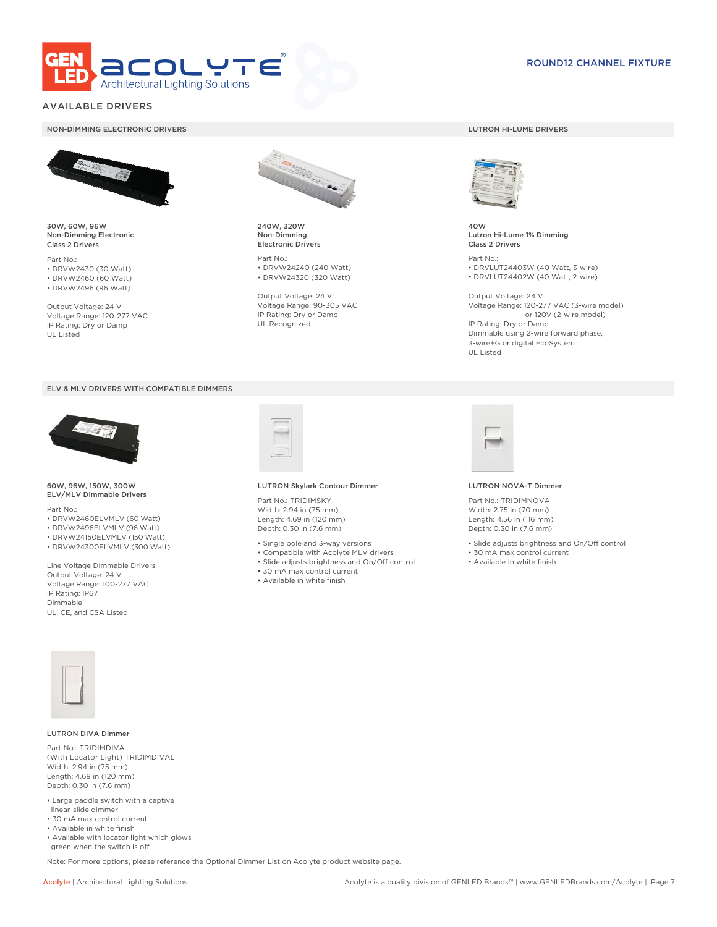

### AVAILABLE DRIVERS

#### NON-DIMMING ELECTRONIC DRIVERS LUTRON HI-LUME DRIVERS



30W, 60W, 96W Non-Dimming Electronic Class 2 Drivers

Part No.: • DRVW2430 (30 Watt) • DRVW2460 (60 Watt)

• DRVW2496 (96 Watt)

Output Voltage: 24 V Voltage Range: 120-277 VAC IP Rating: Dry or Damp UL Listed





60W, 96W, 150W, 300W ELV/MLV Dimmable Drivers

Part No.:

- DRVW2460ELVMLV (60 Watt)
- DRVW2496ELVMLV (96 Watt)
- DRVW24150ELVMLV (150 Watt)
- DRVW24300ELVMLV (300 Watt)

Line Voltage Dimmable Drivers Output Voltage: 24 V Voltage Range: 100-277 VAC IP Rating: IP67 Dimmable UL, CE, and CSA Listed



240W, 320W Non-Dimming Electronic Drivers

Part No.: • DRVW24240 (240 Watt) • DRVW24320 (320 Watt)

Output Voltage: 24 V Voltage Range: 90-305 VAC IP Rating: Dry or Damp UL Recognized



40W Lutron Hi-Lume 1% Dimming Class 2 Drivers

Part No.: • DRVLUT24403W (40 Watt, 3-wire) • DRVLUT24402W (40 Watt, 2-wire)

Output Voltage: 24 V Voltage Range: 120-277 VAC (3-wire model) or 120V (2-wire model) IP Rating: Dry or Damp Dimmable using 2-wire forward phase, 3-wire+G or digital EcoSystem UL Listed



#### LUTRON Skylark Contour Dimmer

Part No.: TRIDIMSKY Width: 2.94 in (75 mm) Length: 4.69 in (120 mm) Depth: 0.30 in (7.6 mm)

- Single pole and 3-way versions
- Compatible with Acolyte MLV drivers
- Slide adjusts brightness and On/Off control
- 30 mA max control current
- Available in white finish



#### LUTRON NOVA-T Dimmer

Part No.: TRIDIMNOVA Width: 2.75 in (70 mm) Length: 4.56 in (116 mm) Depth: 0.30 in (7.6 mm)

- Slide adjusts brightness and On/Off control
- 30 mA max control current
- Available in white finish



#### LUTRON DIVA Dimmer

Part No.: TRIDIMDIVA (With Locator Light) TRIDIMDIVAL Width: 2.94 in (75 mm) Length: 4.69 in (120 mm) Depth: 0.30 in (7.6 mm)

- Large paddle switch with a captive linear-slide dimmer
- 30 mA max control current
- Available in white finish
- Available with locator light which glows green when the switch is off

Note: For more options, please reference the Optional Dimmer List on Acolyte product website page.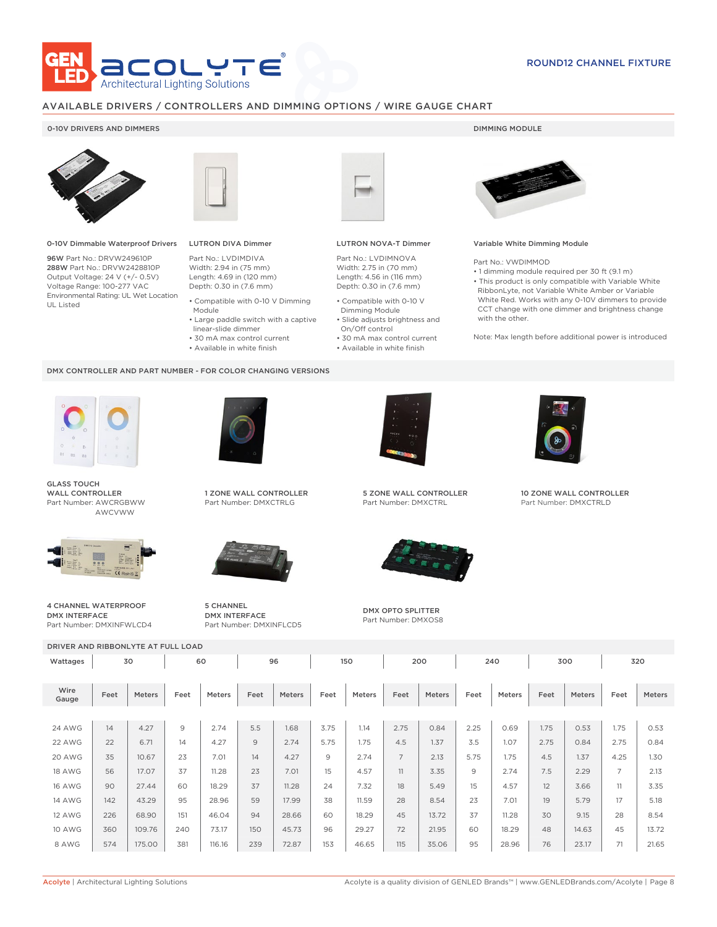

### AVAILABLE DRIVERS / CONTROLLERS AND DIMMING OPTIONS / WIRE GAUGE CHART

### 0-10V DRIVERS AND DIMMERS **DIMMING MODULE**



0-10V Dimmable Waterproof Drivers

96W Part No.: DRVW249610P 288W Part No.: DRVW2428810P Output Voltage: 24 V (+/- 0.5V) Voltage Range: 100-277 VAC Environmental Rating: UL Wet Location UL Listed



## LUTRON DIVA Dimmer

Part No.: LVDIMDIVA Width: 2.94 in (75 mm) Length: 4.69 in (120 mm) Depth: 0.30 in (7.6 mm)

- Compatible with 0-10 V Dimming Module
- Large paddle switch with a captive linear-slide dimmer
- 30 mA max control current
	-
- Available in white finish

#### DMX CONTROLLER AND PART NUMBER - FOR COLOR CHANGING VERSIONS



GLASS TOUCH WALL CONTROLLER Part Number: AWCRGBWW AWCVWW



4 CHANNEL WATERPROOF DMX INTERFACE Part Number: DMXINFWLCD4



1 ZONE WALL CONTROLLER Part Number: DMXCTRLG



5 CHANNEL DMX INTERFACE Part Number: DMXINFLCD5



#### LUTRON NOVA-T Dimmer

Part No.: LVDIMNOVA Width: 2.75 in (70 mm) Length: 4.56 in (116 mm) Depth: 0.30 in (7.6 mm)

- Compatible with 0-10 V Dimming Module
- Slide adjusts brightness and On/Off control
- 30 mA max control current • Available in white finish
	-



#### Variable White Dimming Module

Part No.: VWDIMMOD

• 1 dimming module required per 30 ft (9.1 m) • This product is only compatible with Variable White RibbonLyte, not Variable White Amber or Variable White Red. Works with any 0-10V dimmers to provide CCT change with one dimmer and brightness change with the other.

Note: Max length before additional power is introduced



5 ZONE WALL CONTROLLER Part Number: DMXCTRL



DMX OPTO SPLITTER Part Number: DMXOS8



10 ZONE WALL CONTROLLER Part Number: DMXCTRLD

DRIVER AND RIBBONLYTE AT FULL LOAD Wattages 30 | 60 | 96 | 150 | 200 | 240 | 300 | 320 Wire Gauge Feet Meters Feet Meters Feet Meters Feet Meters Feet Meters Feet Meters Feet Meters Feet Meters 24 AWG | 14 | 4.27 | 9 | 2.74 | 5.5 | 1.68 | 3.75 | 1.14 | 2.75 | 0.84 | 2.25 | 0.69 | 1.75 | 0.53 | 1.75 | 0.53 22 AWG | 22 | 6.71 | 14 | 4.27 | 9 | 2.74 | 5.75 | 1.75 | 4.5 | 1.37 | 3.5 | 1.07 | 2.75 | 0.84 | 2.75 | 0.84 20 AWG | 35 | 10.67 | 23 | 7.01 | 14 | 4.27 | 9 | 2.74 | 7 | 2.13 | 5.75 | 1.75 | 4.5 | 1.37 | 4.25 | 1.30 18 AWG | 56 | 17.07 | 37 | 11.28 | 23 | 7.01 | 15 | 4.57 | 11 | 3.35 | 9 | 2.74 | 7.5 | 2.29 | 7 | 2.13 16 AWG | 90 | 27.44 | 60 | 18.29 | 37 | 11.28 | 24 | 7.32 | 18 | 5.49 | 15 | 4.57 | 12 | 3.66 | 11 | 3.35 14 AWG | 142 | 43.29 | 95 | 28.96 | 59 | 17.99 | 38 | 11.59 | 28 | 8.54 | 23 | 7.01 | 19 | 5.79 | 17 | 5.18 12 AWG | 226 | 68.90 | 151 | 46.04 | 94 | 28.66 | 60 | 18.29 | 45 | 13.72 | 37 | 11.28 | 30 | 9.15 | 28 | 8.54 10 AWG | 360 | 109.76 | 240 | 73.17 | 150 | 45.73 | 96 | 29.27 | 72 | 21.95 | 60 | 18.29 | 48 | 14.63 | 45 | 13.72 8 AWG | 574 | 175.00 | 381 | 116.16 | 239 | 72.87 | 153 | 46.65 | 115 | 35.06 | 95 | 28.96 | 76 | 23.17 | 71 | 21.65